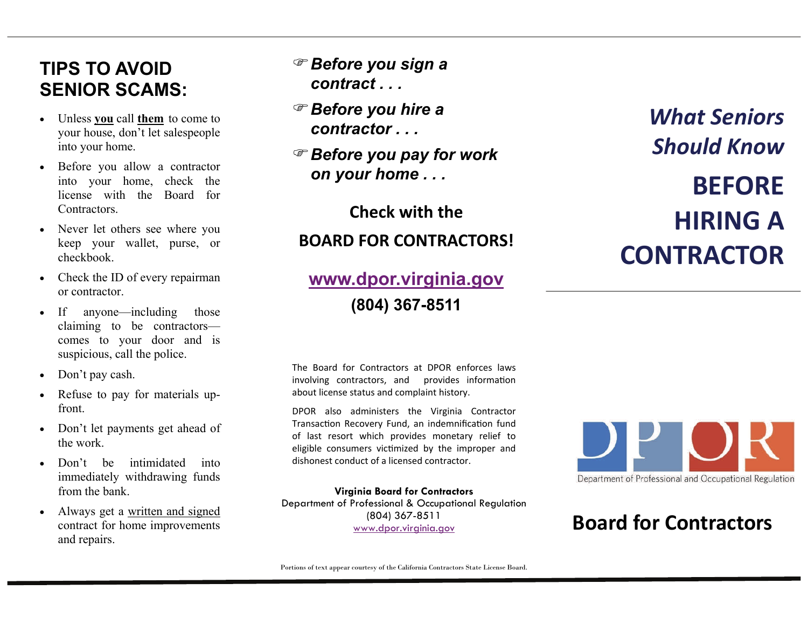## **TIPS TO AVOID SENIOR SCAMS:**

- $\bullet$  Unless **you** call **them** to come to your house, don't let salespeople into your home.
- $\bullet$  Before you allow a contractor into your home, check the license with the Board for Contractors.
- $\bullet$  Never let others see where you keep your wallet, purse, or checkbook.
- $\bullet$  Check the ID of every repairman or contractor.
- $\bullet$  If anyone—including those claiming to be contractors comes to your door and is suspicious, call the police.
- $\bullet$ Don't pay cash.
- $\bullet$  Refuse to pay for materials upfront.
- $\bullet$  Don't let payments get ahead of the work.
- $\bullet$ Don't be intimidated into immediately withdrawing funds from the bank.
- $\bullet$  Always get a written and signed contract for home improvements and repairs.
- *Before you sign a contract . . .*
- *Before you hire a contractor . . .*
- *Before you pay for work on your home . . .*

**Check with the**

### **BOARD FOR CONTRACTORS!**

# **[www.dpor.virginia.gov](http://www.dpor.virginia.gov/)**

**(804) 367-8511** 

*What SeniorsShould Know***BEFOREHIRINGACONTRACTOR**

The Board for Contractors at DPOR enforces laws involving contractors, and provides information about license status and complaint history.

DPOR also administers the Virginia Contractor Transaction Recovery Fund, an indemnification fund of last resort which provides monetary relief to eligible consumers victimized by the improper and dishonest conduct of <sup>a</sup> licensed contractor.

**Virginia Board for Contractors**  Department of Professional & Occupational Regulation (804) 367-8511 [www.dpor.virginia.gov](http://www.dpor.virginia.gov/)



## **Board for Contractors**